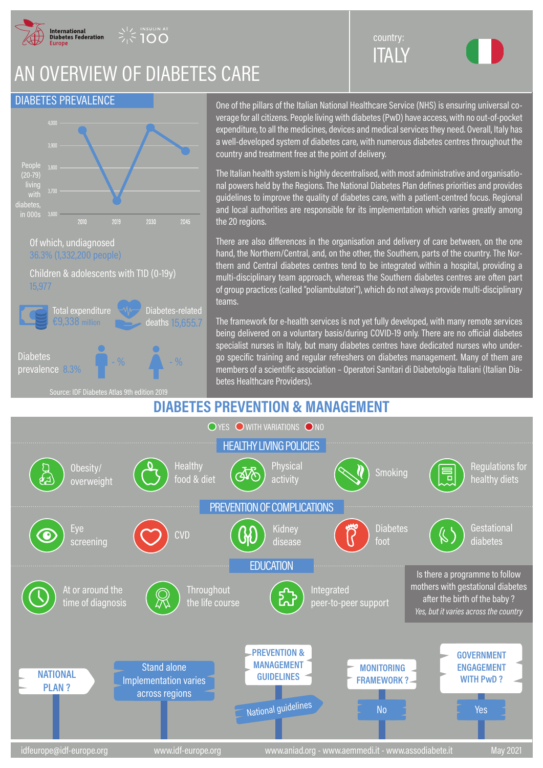

**INSULIN AT** 

## AN OVERVIEW OF DIABETES CARE

## DIABETES PREVALENCE



One of the pillars of the Italian National Healthcare Service (NHS) is ensuring universal coverage for all citizens. People living with diabetes (PwD) have access, with no out-of-pocket expenditure, to all the medicines, devices and medical services they need. Overall, Italy has a well-developed system of diabetes care, with numerous diabetes centres throughout the country and treatment free at the point of delivery.

**ITALY** country:

The Italian health system is highly decentralised, with most administrative and organisational powers held by the Regions. The National Diabetes Plan defines priorities and provides guidelines to improve the quality of diabetes care, with a patient-centred focus. Regional and local authorities are responsible for its implementation which varies greatly among the 20 regions.

There are also differences in the organisation and delivery of care between, on the one hand, the Northern/Central, and, on the other, the Southern, parts of the country. The Northern and Central diabetes centres tend to be integrated within a hospital, providing a multi-disciplinary team approach, whereas the Southern diabetes centres are often part of group practices (called "poliambulatori"), which do not always provide multi-disciplinary teams.

The framework for e-health services is not yet fully developed, with many remote services being delivered on a voluntary basis/during COVID-19 only. There are no official diabetes specialist nurses in Italy, but many diabetes centres have dedicated nurses who undergo specific training and regular refreshers on diabetes management. Many of them are members of a scientific association – Operatori Sanitari di Diabetologia Italiani (Italian Diabetes Healthcare Providers).

## **DIABETES PREVENTION & MANAGEMENT**

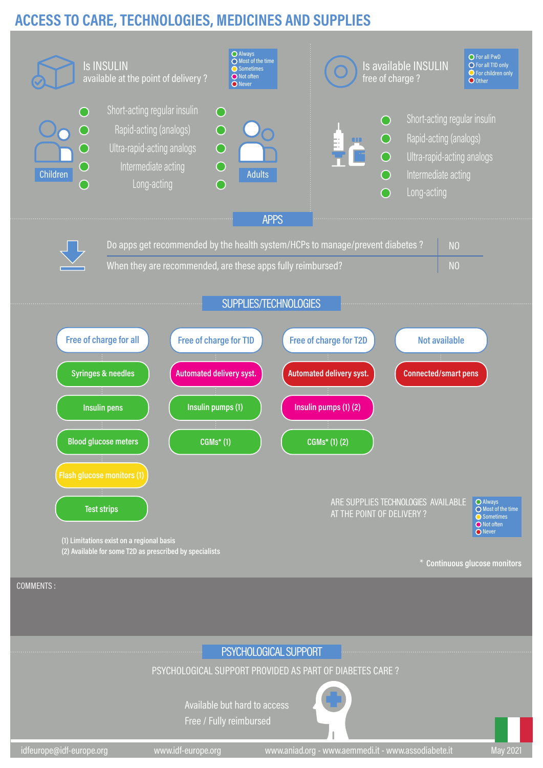## **ACCESS TO CARE, TECHNOLOGIES, MEDICINES AND SUPPLIES**